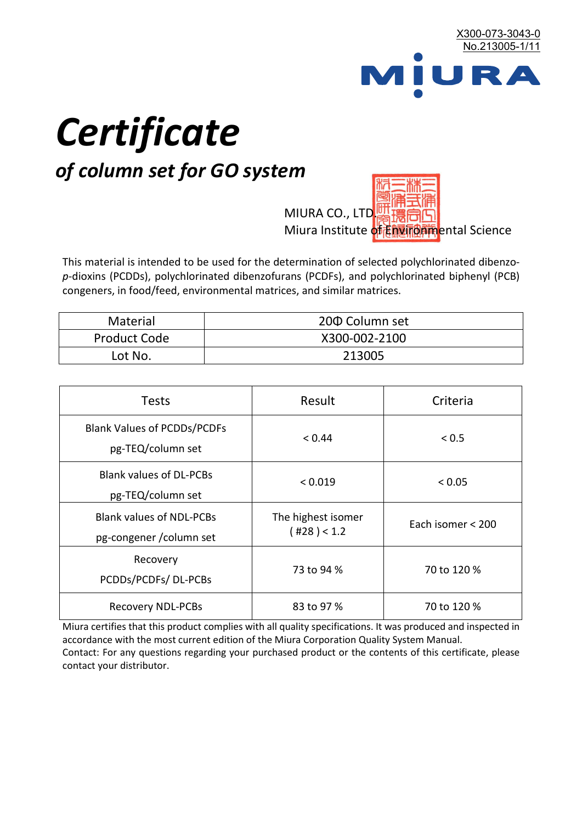

# *Certificate*

## *of column set for GO system*

MIURA CO., LTD. Miura Institute of 正版而解ental Science

This material is intended to be used for the determination of selected polychlorinated dibenzo*p*-dioxins (PCDDs), polychlorinated dibenzofurans (PCDFs), and polychlorinated biphenyl (PCB) congeners, in food/feed, environmental matrices, and similar matrices.

| <b>Material</b>     | 200 Column set |  |
|---------------------|----------------|--|
| <b>Product Code</b> | X300-002-2100  |  |
| Lot No.             | 213005         |  |

| <b>Tests</b>                                                | Result                            | Criteria          |  |
|-------------------------------------------------------------|-----------------------------------|-------------------|--|
| <b>Blank Values of PCDDs/PCDFs</b><br>pg-TEQ/column set     | < 0.44                            | < 0.5             |  |
| <b>Blank values of DL-PCBs</b><br>pg-TEQ/column set         | < 0.019                           | < 0.05            |  |
| <b>Blank values of NDL-PCBs</b><br>pg-congener / column set | The highest isomer<br>(428) < 1.2 | Each isomer < 200 |  |
| Recovery<br>PCDDs/PCDFs/DL-PCBs                             | 73 to 94 %                        | 70 to 120 %       |  |
| <b>Recovery NDL-PCBs</b>                                    | 83 to 97 %                        | 70 to 120 %       |  |

Miura certifies that this product complies with all quality specifications. It was produced and inspected in accordance with the most current edition of the Miura Corporation Quality System Manual. Contact: For any questions regarding your purchased product or the contents of this certificate, please contact your distributor.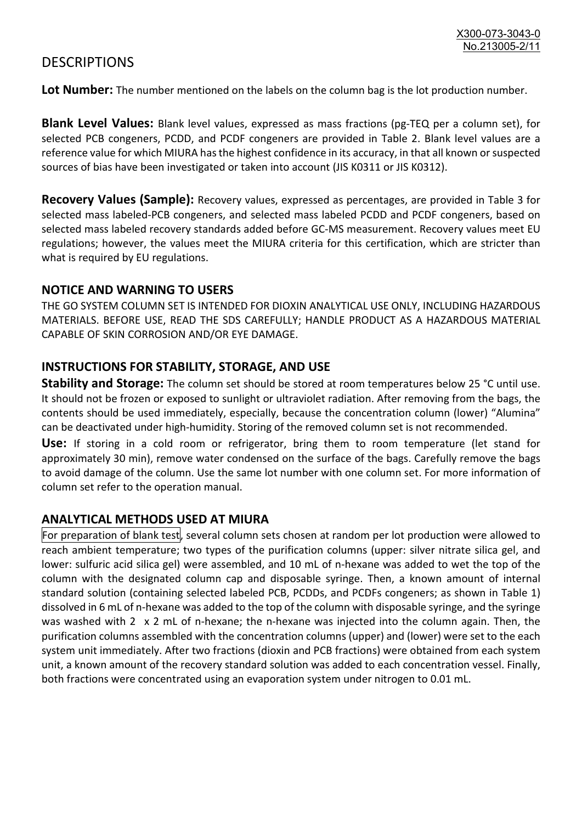### **DESCRIPTIONS**

**Lot Number:** The number mentioned on the labels on the column bag is the lot production number.

**Blank Level Values:** Blank level values, expressed as mass fractions (pg-TEQ per a column set), for selected PCB congeners, PCDD, and PCDF congeners are provided in Table 2. Blank level values are a reference value for which MIURA has the highest confidence in its accuracy, in that all known or suspected sources of bias have been investigated or taken into account (JIS K0311 or JIS K0312).

**Recovery Values (Sample):** Recovery values, expressed as percentages, are provided in Table 3 for selected mass labeled-PCB congeners, and selected mass labeled PCDD and PCDF congeners, based on selected mass labeled recovery standards added before GC-MS measurement. Recovery values meet EU regulations; however, the values meet the MIURA criteria for this certification, which are stricter than what is required by EU regulations.

#### **NOTICE AND WARNING TO USERS**

THE GO SYSTEM COLUMN SET IS INTENDED FOR DIOXIN ANALYTICAL USE ONLY, INCLUDING HAZARDOUS MATERIALS. BEFORE USE, READ THE SDS CAREFULLY; HANDLE PRODUCT AS A HAZARDOUS MATERIAL CAPABLE OF SKIN CORROSION AND/OR EYE DAMAGE.

#### **INSTRUCTIONS FOR STABILITY, STORAGE, AND USE**

**Stability and Storage:** The column set should be stored at room temperatures below 25 °C until use. It should not be frozen or exposed to sunlight or ultraviolet radiation. After removing from the bags, the contents should be used immediately, especially, because the concentration column (lower) "Alumina" can be deactivated under high-humidity. Storing of the removed column set is not recommended.

**Use:** If storing in a cold room or refrigerator, bring them to room temperature (let stand for approximately 30 min), remove water condensed on the surface of the bags. Carefully remove the bags to avoid damage of the column. Use the same lot number with one column set. For more information of column set refer to the operation manual.

#### **ANALYTICAL METHODS USED AT MIURA**

For preparation of blank test, several column sets chosen at random per lot production were allowed to reach ambient temperature; two types of the purification columns (upper: silver nitrate silica gel, and lower: sulfuric acid silica gel) were assembled, and 10 mL of n-hexane was added to wet the top of the column with the designated column cap and disposable syringe. Then, a known amount of internal standard solution (containing selected labeled PCB, PCDDs, and PCDFs congeners; as shown in Table 1) dissolved in 6 mL of n-hexane was added to the top of the column with disposable syringe, and the syringe was washed with 2 x 2 mL of n-hexane; the n-hexane was injected into the column again. Then, the purification columns assembled with the concentration columns (upper) and (lower) were set to the each system unit immediately. After two fractions (dioxin and PCB fractions) were obtained from each system unit, a known amount of the recovery standard solution was added to each concentration vessel. Finally, both fractions were concentrated using an evaporation system under nitrogen to 0.01 mL.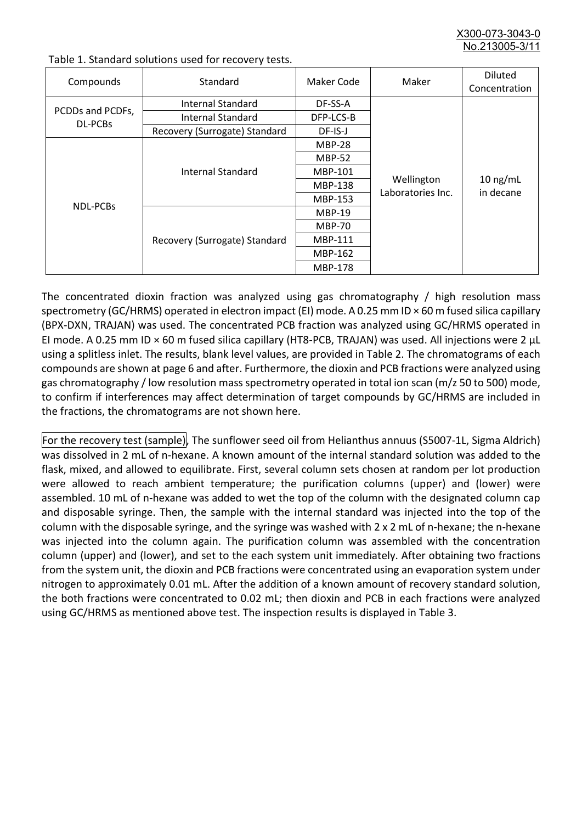X300-073-3043-0 No.213005-3/

| Compounds                          | Standard                              | Maker Code     | Maker                           | <b>Diluted</b><br>Concentration |
|------------------------------------|---------------------------------------|----------------|---------------------------------|---------------------------------|
| PCDDs and PCDFs,<br><b>DL-PCBs</b> | Internal Standard                     | DF-SS-A        |                                 |                                 |
|                                    | <b>Internal Standard</b><br>DFP-LCS-B |                |                                 |                                 |
|                                    | Recovery (Surrogate) Standard         | DF-IS-J        |                                 | $10$ ng/mL<br>in decane         |
| <b>NDL-PCBs</b>                    | Internal Standard                     | <b>MBP-28</b>  | Wellington<br>Laboratories Inc. |                                 |
|                                    |                                       | <b>MBP-52</b>  |                                 |                                 |
|                                    |                                       | MBP-101        |                                 |                                 |
|                                    |                                       | <b>MBP-138</b> |                                 |                                 |
|                                    |                                       | MBP-153        |                                 |                                 |
|                                    | Recovery (Surrogate) Standard         | <b>MBP-19</b>  |                                 |                                 |
|                                    |                                       | <b>MBP-70</b>  |                                 |                                 |
|                                    |                                       | <b>MBP-111</b> |                                 |                                 |
|                                    |                                       | MBP-162        |                                 |                                 |
|                                    |                                       | <b>MBP-178</b> |                                 |                                 |

Table 1. Standard solutions used for recovery tests.

The concentrated dioxin fraction was analyzed using gas chromatography / high resolution mass spectrometry (GC/HRMS) operated in electron impact (EI) mode. A 0.25 mm ID × 60 m fused silica capillary (BPX-DXN, TRAJAN) was used. The concentrated PCB fraction was analyzed using GC/HRMS operated in EI mode. A 0.25 mm ID × 60 m fused silica capillary (HT8-PCB, TRAJAN) was used. All injections were 2 μL using a splitless inlet. The results, blank level values, are provided in Table 2. The chromatograms of each compounds are shown at page 6 and after. Furthermore, the dioxin and PCB fractions were analyzed using gas chromatography / low resolution mass spectrometry operated in total ion scan (m/z 50 to 500) mode, to confirm if interferences may affect determination of target compounds by GC/HRMS are included in the fractions, the chromatograms are not shown here.

For the recovery test (sample), The sunflower seed oil from Helianthus annuus (S5007-1L, Sigma Aldrich) was dissolved in 2 mL of n-hexane. A known amount of the internal standard solution was added to the flask, mixed, and allowed to equilibrate. First, several column sets chosen at random per lot production were allowed to reach ambient temperature; the purification columns (upper) and (lower) were assembled. 10 mL of n-hexane was added to wet the top of the column with the designated column cap and disposable syringe. Then, the sample with the internal standard was injected into the top of the column with the disposable syringe, and the syringe was washed with 2 x 2 mL of n-hexane; the n-hexane was injected into the column again. The purification column was assembled with the concentration column (upper) and (lower), and set to the each system unit immediately. After obtaining two fractions from the system unit, the dioxin and PCB fractions were concentrated using an evaporation system under nitrogen to approximately 0.01 mL. After the addition of a known amount of recovery standard solution, the both fractions were concentrated to 0.02 mL; then dioxin and PCB in each fractions were analyzed using GC/HRMS as mentioned above test. The inspection results is displayed in Table 3.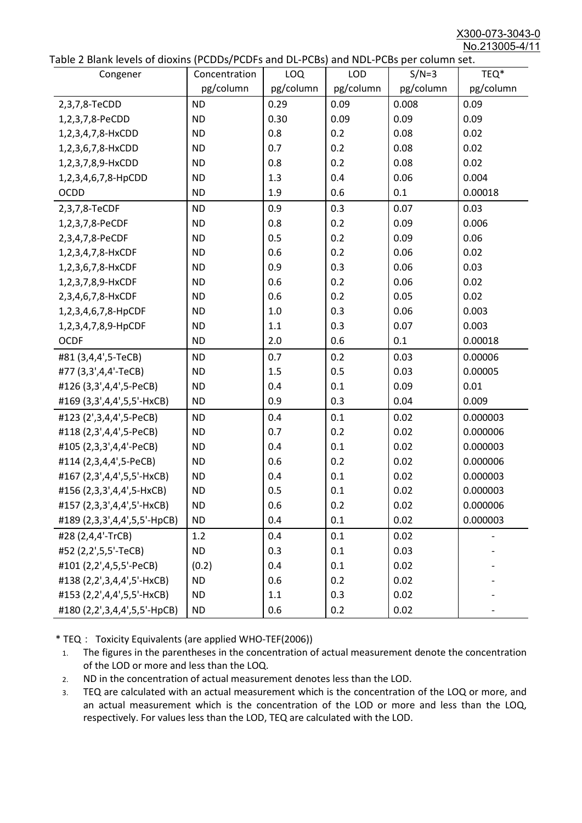X300-073-3043-0 No.213005-4/11

|  |  | Table 2 Blank levels of dioxins (PCDDs/PCDFs and DL-PCBs) and NDL-PCBs per column set. |
|--|--|----------------------------------------------------------------------------------------|
|--|--|----------------------------------------------------------------------------------------|

| able 2 Dialik levels of dioxilis (PCDDs/PCDI's and DL-PCDs) and NDL-PCDs per coldinii set.<br>Congener | Concentration | LOQ       | <b>LOD</b> | $S/N=3$   | TEQ*      |
|--------------------------------------------------------------------------------------------------------|---------------|-----------|------------|-----------|-----------|
|                                                                                                        | pg/column     | pg/column | pg/column  | pg/column | pg/column |
| 2,3,7,8-TeCDD                                                                                          | <b>ND</b>     | 0.29      | 0.09       | 0.008     | 0.09      |
| 1,2,3,7,8-PeCDD                                                                                        | <b>ND</b>     | 0.30      | 0.09       | 0.09      | 0.09      |
| 1,2,3,4,7,8-HxCDD                                                                                      | <b>ND</b>     | 0.8       | 0.2        | 0.08      | 0.02      |
| 1,2,3,6,7,8-HxCDD                                                                                      | <b>ND</b>     | 0.7       | 0.2        | 0.08      | 0.02      |
| 1,2,3,7,8,9-HxCDD                                                                                      | <b>ND</b>     | 0.8       | 0.2        | 0.08      | 0.02      |
| 1,2,3,4,6,7,8-HpCDD                                                                                    | <b>ND</b>     | 1.3       | 0.4        | 0.06      | 0.004     |
| <b>OCDD</b>                                                                                            | <b>ND</b>     | 1.9       | 0.6        | 0.1       | 0.00018   |
| 2,3,7,8-TeCDF                                                                                          | <b>ND</b>     | 0.9       | 0.3        | 0.07      | 0.03      |
| 1,2,3,7,8-PeCDF                                                                                        | <b>ND</b>     | 0.8       | 0.2        | 0.09      | 0.006     |
| 2,3,4,7,8-PeCDF                                                                                        | <b>ND</b>     | 0.5       | 0.2        | 0.09      | 0.06      |
| 1,2,3,4,7,8-HxCDF                                                                                      | <b>ND</b>     | 0.6       | 0.2        | 0.06      | 0.02      |
| 1,2,3,6,7,8-HxCDF                                                                                      | <b>ND</b>     | 0.9       | 0.3        | 0.06      | 0.03      |
| 1,2,3,7,8,9-HxCDF                                                                                      | <b>ND</b>     | 0.6       | 0.2        | 0.06      | 0.02      |
| 2,3,4,6,7,8-HxCDF                                                                                      | <b>ND</b>     | 0.6       | 0.2        | 0.05      | 0.02      |
| 1,2,3,4,6,7,8-HpCDF                                                                                    | <b>ND</b>     | 1.0       | 0.3        | 0.06      | 0.003     |
| 1,2,3,4,7,8,9-HpCDF                                                                                    | <b>ND</b>     | 1.1       | 0.3        | 0.07      | 0.003     |
| <b>OCDF</b>                                                                                            | <b>ND</b>     | 2.0       | 0.6        | 0.1       | 0.00018   |
| #81 (3,4,4',5-TeCB)                                                                                    | <b>ND</b>     | 0.7       | 0.2        | 0.03      | 0.00006   |
| #77 (3,3',4,4'-TeCB)                                                                                   | <b>ND</b>     | 1.5       | 0.5        | 0.03      | 0.00005   |
| #126 (3,3',4,4',5-PeCB)                                                                                | <b>ND</b>     | 0.4       | 0.1        | 0.09      | 0.01      |
| #169 (3,3',4,4',5,5'-HxCB)                                                                             | <b>ND</b>     | 0.9       | 0.3        | 0.04      | 0.009     |
| #123 (2',3,4,4',5-PeCB)                                                                                | <b>ND</b>     | 0.4       | 0.1        | 0.02      | 0.000003  |
| #118 (2,3',4,4',5-PeCB)                                                                                | <b>ND</b>     | 0.7       | 0.2        | 0.02      | 0.000006  |
| #105 (2,3,3',4,4'-PeCB)                                                                                | <b>ND</b>     | 0.4       | 0.1        | 0.02      | 0.000003  |
| #114 (2,3,4,4',5-PeCB)                                                                                 | <b>ND</b>     | 0.6       | 0.2        | 0.02      | 0.000006  |
| #167 (2,3',4,4',5,5'-HxCB)                                                                             | <b>ND</b>     | 0.4       | 0.1        | 0.02      | 0.000003  |
| #156 (2,3,3',4,4',5-HxCB)                                                                              | <b>ND</b>     | 0.5       | 0.1        | 0.02      | 0.000003  |
| #157 (2,3,3',4,4',5'-HxCB)                                                                             | <b>ND</b>     | 0.6       | 0.2        | 0.02      | 0.000006  |
| #189 (2,3,3',4,4',5,5'-HpCB)                                                                           | <b>ND</b>     | 0.4       | 0.1        | 0.02      | 0.000003  |
| #28 (2,4,4'-TrCB)                                                                                      | 1.2           | 0.4       | 0.1        | 0.02      |           |
| #52 (2,2',5,5'-TeCB)                                                                                   | <b>ND</b>     | 0.3       | 0.1        | 0.03      |           |
| #101 (2,2',4,5,5'-PeCB)                                                                                | (0.2)         | 0.4       | 0.1        | 0.02      |           |
| #138 (2,2',3,4,4',5'-HxCB)                                                                             | <b>ND</b>     | 0.6       | 0.2        | 0.02      |           |
| #153 (2,2',4,4',5,5'-HxCB)                                                                             | <b>ND</b>     | 1.1       | 0.3        | 0.02      |           |
| #180 (2,2',3,4,4',5,5'-HpCB)                                                                           | <b>ND</b>     | 0.6       | 0.2        | 0.02      |           |

\* TEQ: Toxicity Equivalents (are applied WHO-TEF(2006))

- 1. The figures in the parentheses in the concentration of actual measurement denote the concentration of the LOD or more and less than the LOQ.
- 2. ND in the concentration of actual measurement denotes less than the LOD.
- 3. TEQ are calculated with an actual measurement which is the concentration of the LOQ or more, and an actual measurement which is the concentration of the LOD or more and less than the LOQ, respectively. For values less than the LOD, TEQ are calculated with the LOD.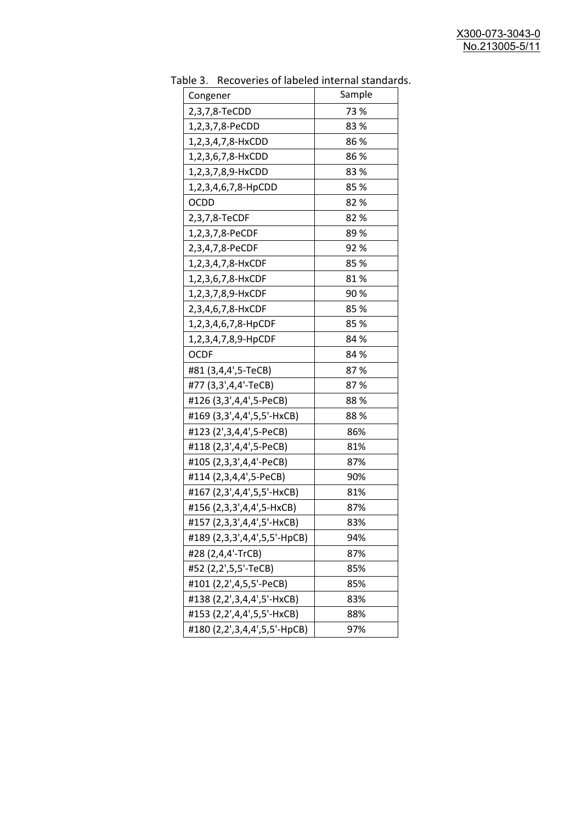| uwic J.<br><b>INCLUSION INTO THE INTERNATIONAL SCITTLES</b><br>Congener | Sample |
|-------------------------------------------------------------------------|--------|
| 2,3,7,8-TeCDD                                                           | 73 %   |
| 1,2,3,7,8-PeCDD                                                         | 83%    |
| 1,2,3,4,7,8-HxCDD                                                       | 86%    |
| 1,2,3,6,7,8-HxCDD                                                       | 86%    |
| 1,2,3,7,8,9-HxCDD                                                       | 83%    |
| 1,2,3,4,6,7,8-HpCDD                                                     | 85%    |
| OCDD                                                                    | 82%    |
| 2,3,7,8-TeCDF                                                           | 82%    |
| 1,2,3,7,8-PeCDF                                                         | 89%    |
| 2,3,4,7,8-PeCDF                                                         | 92%    |
| 1,2,3,4,7,8-HxCDF                                                       | 85%    |
| 1,2,3,6,7,8-HxCDF                                                       | 81%    |
| 1,2,3,7,8,9-HxCDF                                                       | 90%    |
| 2,3,4,6,7,8-HxCDF                                                       | 85%    |
| 1,2,3,4,6,7,8-HpCDF                                                     | 85 %   |
| 1,2,3,4,7,8,9-HpCDF                                                     | 84 %   |
| <b>OCDF</b>                                                             | 84 %   |
| #81 (3,4,4',5-TeCB)                                                     | 87%    |
| #77 (3,3',4,4'-TeCB)                                                    | 87%    |
| #126 (3,3',4,4',5-PeCB)                                                 | 88%    |
| #169 (3,3',4,4',5,5'-HxCB)                                              | 88%    |
| #123 (2',3,4,4',5-PeCB)                                                 | 86%    |
| #118 (2,3',4,4',5-PeCB)                                                 | 81%    |
| #105 (2,3,3',4,4'-PeCB)                                                 | 87%    |
| #114 (2,3,4,4',5-PeCB)                                                  | 90%    |
| #167 (2,3',4,4',5,5'-HxCB)                                              | 81%    |
| #156 (2,3,3',4,4',5-HxCB)                                               | 87%    |
| #157 (2,3,3',4,4',5'-HxCB)                                              | 83%    |
| #189 (2,3,3',4,4',5,5'-HpCB)                                            | 94%    |
| #28 (2,4,4'-TrCB)                                                       | 87%    |
| #52 (2,2',5,5'-TeCB)                                                    | 85%    |
| #101 (2,2',4,5,5'-PeCB)                                                 | 85%    |
| #138 (2,2',3,4,4',5'-HxCB)                                              | 83%    |
| #153 (2,2',4,4',5,5'-HxCB)                                              | 88%    |
| #180 (2,2',3,4,4',5,5'-HpCB)                                            | 97%    |

Table 3. Recoveries of labeled internal standards.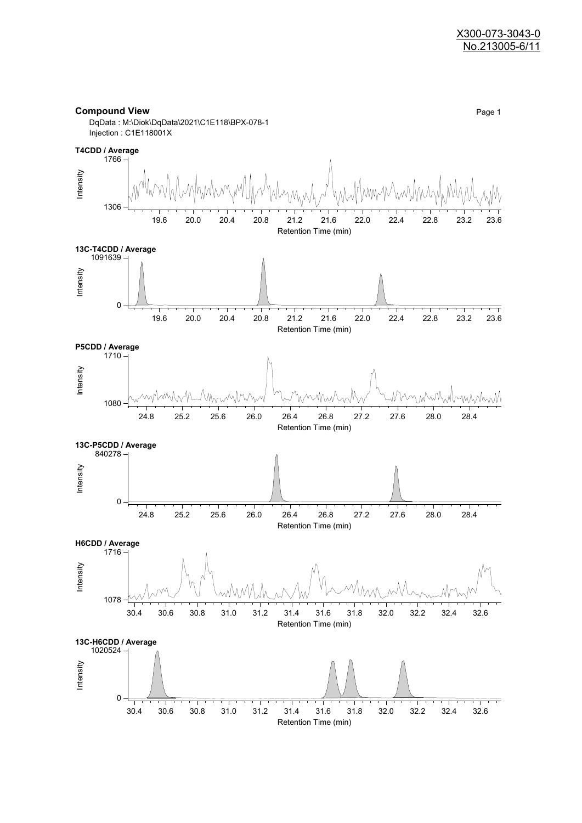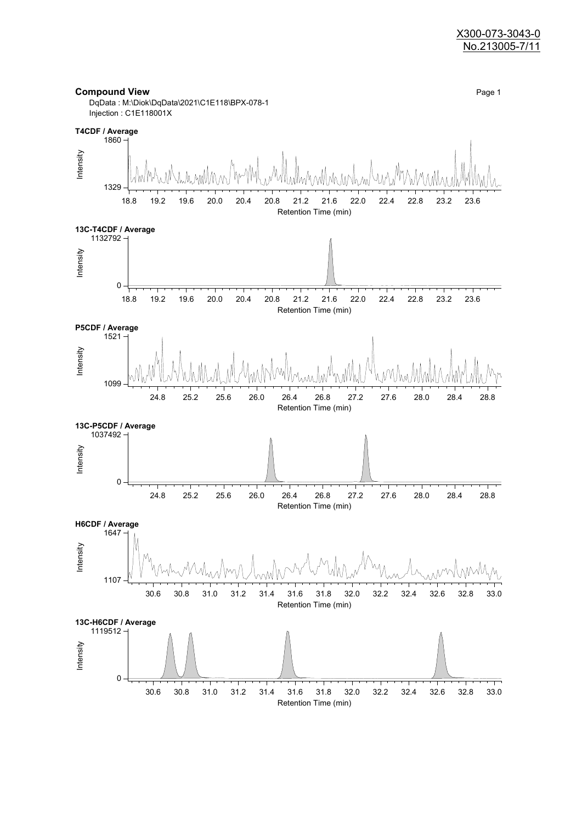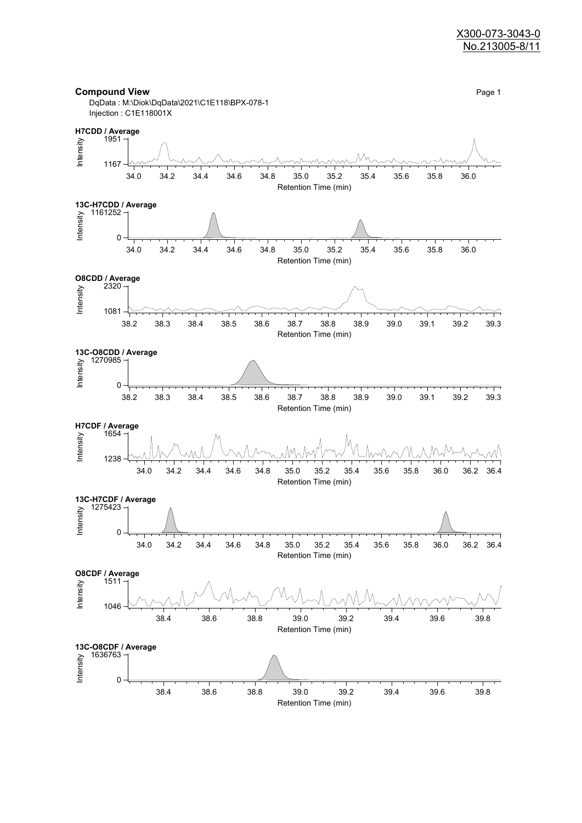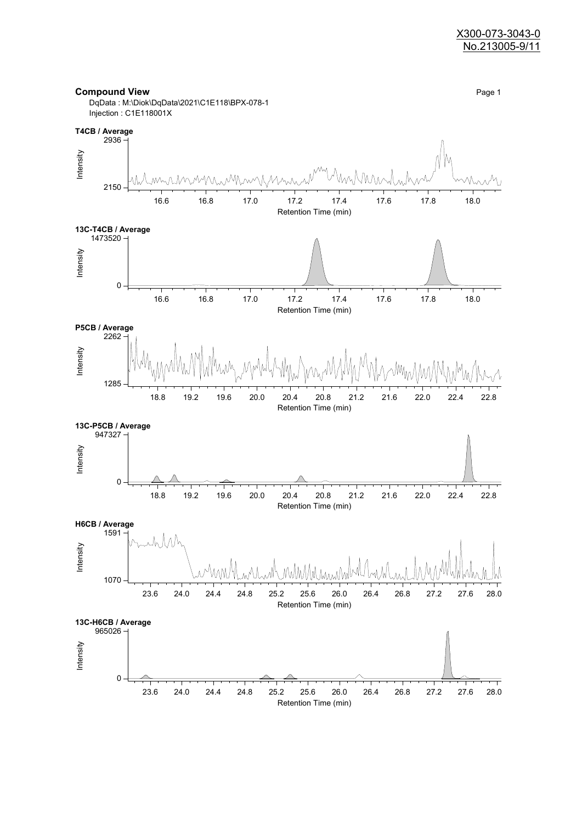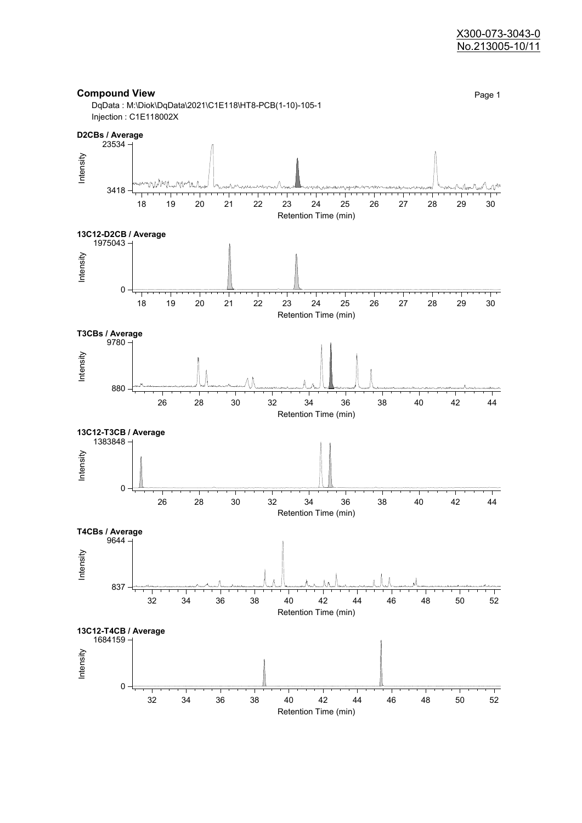